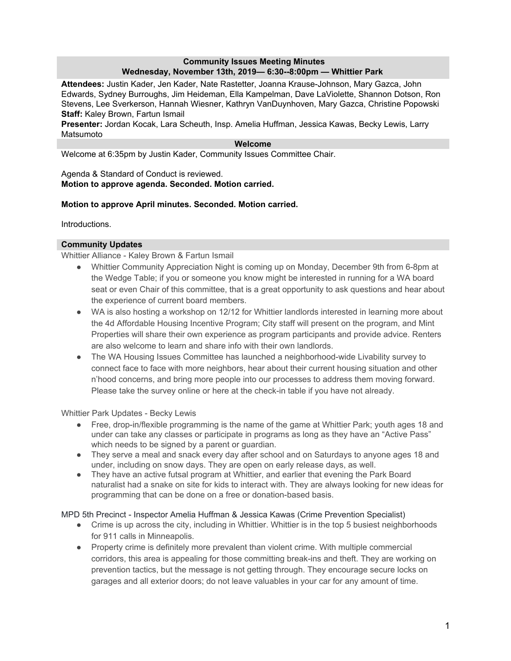## **Community Issues Meeting Minutes Wednesday, November 13th, 2019— 6:30--8:00pm — Whittier Park**

**Attendees:** Justin Kader, Jen Kader, Nate Rastetter, Joanna Krause-Johnson, Mary Gazca, John Edwards, Sydney Burroughs, Jim Heideman, Ella Kampelman, Dave LaViolette, Shannon Dotson, Ron Stevens, Lee Sverkerson, Hannah Wiesner, Kathryn VanDuynhoven, Mary Gazca, Christine Popowski **Staff:** Kaley Brown, Fartun Ismail

**Presenter:** Jordan Kocak, Lara Scheuth, Insp. Amelia Huffman, Jessica Kawas, Becky Lewis, Larry Matsumoto

### **Welcome**

Welcome at 6:35pm by Justin Kader, Community Issues Committee Chair.

#### Agenda & Standard of Conduct is reviewed. **Motion to approve agenda. Seconded. Motion carried.**

## **Motion to approve April minutes. Seconded. Motion carried.**

Introductions.

## **Community Updates**

Whittier Alliance - Kaley Brown & Fartun Ismail

- Whittier Community Appreciation Night is coming up on Monday, December 9th from 6-8pm at the Wedge Table; if you or someone you know might be interested in running for a WA board seat or even Chair of this committee, that is a great opportunity to ask questions and hear about the experience of current board members.
- WA is also hosting a workshop on 12/12 for Whittier landlords interested in learning more about the 4d Affordable Housing Incentive Program; City staff will present on the program, and Mint Properties will share their own experience as program participants and provide advice. Renters are also welcome to learn and share info with their own landlords.
- The WA Housing Issues Committee has launched a neighborhood-wide Livability survey to connect face to face with more neighbors, hear about their current housing situation and other n'hood concerns, and bring more people into our processes to address them moving forward. Please take the survey online or here at the check-in table if you have not already.

Whittier Park Updates - Becky Lewis

- Free, drop-in/flexible programming is the name of the game at Whittier Park; youth ages 18 and under can take any classes or participate in programs as long as they have an "Active Pass" which needs to be signed by a parent or guardian.
- They serve a meal and snack every day after school and on Saturdays to anyone ages 18 and under, including on snow days. They are open on early release days, as well.
- They have an active futsal program at Whittier, and earlier that evening the Park Board naturalist had a snake on site for kids to interact with. They are always looking for new ideas for programming that can be done on a free or donation-based basis.

MPD 5th Precinct - Inspector Amelia Huffman & Jessica Kawas (Crime Prevention Specialist)

- Crime is up across the city, including in Whittier. Whittier is in the top 5 busiest neighborhoods for 911 calls in Minneapolis.
- Property crime is definitely more prevalent than violent crime. With multiple commercial corridors, this area is appealing for those committing break-ins and theft. They are working on prevention tactics, but the message is not getting through. They encourage secure locks on garages and all exterior doors; do not leave valuables in your car for any amount of time.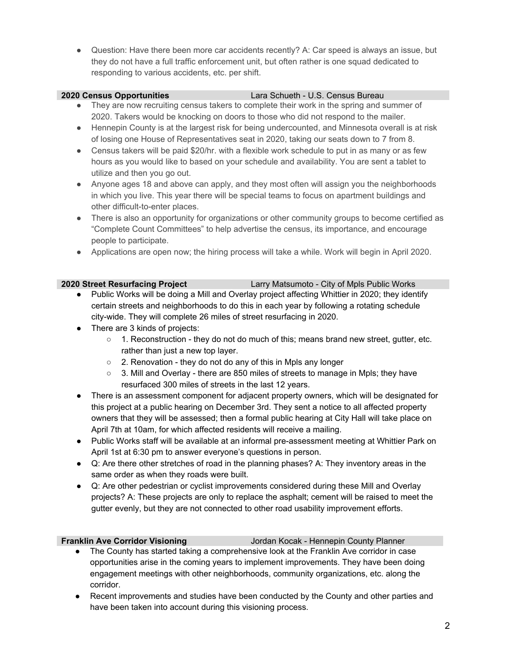• Question: Have there been more car accidents recently? A: Car speed is always an issue, but they do not have a full traffic enforcement unit, but often rather is one squad dedicated to responding to various accidents, etc. per shift.

### **2020 Census Opportunities** Lara Schueth - U.S. Census Bureau

- They are now recruiting census takers to complete their work in the spring and summer of 2020. Takers would be knocking on doors to those who did not respond to the mailer.
- Hennepin County is at the largest risk for being undercounted, and Minnesota overall is at risk of losing one House of Representatives seat in 2020, taking our seats down to 7 from 8.
- Census takers will be paid \$20/hr. with a flexible work schedule to put in as many or as few hours as you would like to based on your schedule and availability. You are sent a tablet to utilize and then you go out.
- Anyone ages 18 and above can apply, and they most often will assign you the neighborhoods in which you live. This year there will be special teams to focus on apartment buildings and other difficult-to-enter places.
- There is also an opportunity for organizations or other community groups to become certified as "Complete Count Committees" to help advertise the census, its importance, and encourage people to participate.
- Applications are open now; the hiring process will take a while. Work will begin in April 2020.

# **2020 Street Resurfacing Project** Larry Matsumoto - City of Mpls Public Works

- Public Works will be doing a Mill and Overlay project affecting Whittier in 2020; they identify certain streets and neighborhoods to do this in each year by following a rotating schedule city-wide. They will complete 26 miles of street resurfacing in 2020.
- There are 3 kinds of projects:
	- $\circ$  1. Reconstruction they do not do much of this; means brand new street, gutter, etc. rather than just a new top layer.
	- 2. Renovation they do not do any of this in Mpls any longer
	- 3. Mill and Overlay there are 850 miles of streets to manage in Mpls; they have resurfaced 300 miles of streets in the last 12 years.
- There is an assessment component for adjacent property owners, which will be designated for this project at a public hearing on December 3rd. They sent a notice to all affected property owners that they will be assessed; then a formal public hearing at City Hall will take place on April 7th at 10am, for which affected residents will receive a mailing.
- Public Works staff will be available at an informal pre-assessment meeting at Whittier Park on April 1st at 6:30 pm to answer everyone's questions in person.
- Q: Are there other stretches of road in the planning phases? A: They inventory areas in the same order as when they roads were built.
- Q: Are other pedestrian or cyclist improvements considered during these Mill and Overlay projects? A: These projects are only to replace the asphalt; cement will be raised to meet the gutter evenly, but they are not connected to other road usability improvement efforts.

**Franklin Ave Corridor Visioning** Jordan Kocak - Hennepin County Planner

- The County has started taking a comprehensive look at the Franklin Ave corridor in case opportunities arise in the coming years to implement improvements. They have been doing engagement meetings with other neighborhoods, community organizations, etc. along the corridor.
- Recent improvements and studies have been conducted by the County and other parties and have been taken into account during this visioning process.